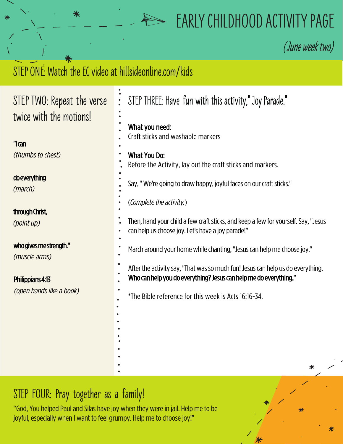## **EARLY CHILDHOOD ACTIVITY PAGE**

**(**June week two)

## STEP ONE: Watch the EC video at hillsideonline.com/kids

⋇

| STEP TWO: Repeat the verse               | STEP THREE: Have fun with this activity," Joy Parade."<br>$\ddot{\bullet}$                                                                           |
|------------------------------------------|------------------------------------------------------------------------------------------------------------------------------------------------------|
| twice with the motions!                  | What you need:                                                                                                                                       |
| $^{\prime\prime}$ an                     | Craft sticks and washable markers                                                                                                                    |
| (thumbs to chest)                        | <b>What You Do:</b><br>Before the Activity, lay out the craft sticks and markers.                                                                    |
| do everything<br>(march)                 | Say, "We're going to draw happy, joyful faces on our craft sticks."                                                                                  |
|                                          | (Complete the activity.)                                                                                                                             |
| through Christ,<br>(point up)            | Then, hand your child a few craft sticks, and keep a few for yourself. Say, "Jesus<br>can help us choose joy. Let's have a joy parade!"              |
| who gives me strength."<br>(muscle arms) | March around your home while chanting, "Jesus can help me choose joy."                                                                               |
| Philippians 4:13                         | After the activity say, "That was so much fun! Jesus can help us do everything.<br>Who can help you do everything? Jesus can help me do everything." |
| (open hands like a book)                 | *The Bible reference for this week is Acts 16:16-34.                                                                                                 |
|                                          |                                                                                                                                                      |
|                                          |                                                                                                                                                      |
|                                          |                                                                                                                                                      |
|                                          |                                                                                                                                                      |
|                                          |                                                                                                                                                      |

## **STEP FOUR: Pray together as a family!**

"God, You helped Paul and Silas have joy when they were in jail. Help me to be joyful, especially when I want to feel grumpy. Help me to choose joy!"